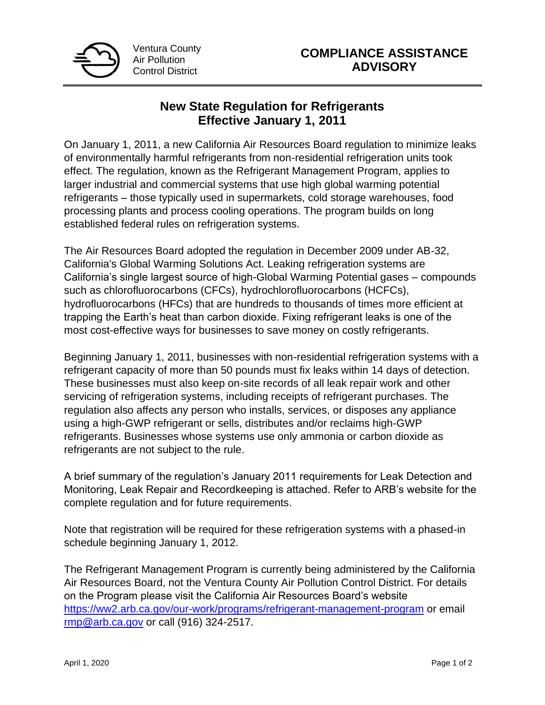

## **New State Regulation for Refrigerants Effective January 1, 2011**

On January 1, 2011, a new California Air Resources Board regulation to minimize leaks of environmentally harmful refrigerants from non-residential refrigeration units took effect. The regulation, known as the Refrigerant Management Program, applies to larger industrial and commercial systems that use high global warming potential refrigerants – those typically used in supermarkets, cold storage warehouses, food processing plants and process cooling operations. The program builds on long established federal rules on refrigeration systems.

The Air Resources Board adopted the regulation in December 2009 under AB-32, California's Global Warming Solutions Act. Leaking refrigeration systems are California's single largest source of high-Global Warming Potential gases – compounds such as chlorofluorocarbons (CFCs), hydrochlorofluorocarbons (HCFCs), hydrofluorocarbons (HFCs) that are hundreds to thousands of times more efficient at trapping the Earth's heat than carbon dioxide. Fixing refrigerant leaks is one of the most cost-effective ways for businesses to save money on costly refrigerants.

Beginning January 1, 2011, businesses with non-residential refrigeration systems with a refrigerant capacity of more than 50 pounds must fix leaks within 14 days of detection. These businesses must also keep on-site records of all leak repair work and other servicing of refrigeration systems, including receipts of refrigerant purchases. The regulation also affects any person who installs, services, or disposes any appliance using a high-GWP refrigerant or sells, distributes and/or reclaims high-GWP refrigerants. Businesses whose systems use only ammonia or carbon dioxide as refrigerants are not subject to the rule.

A brief summary of the regulation's January 2011 requirements for Leak Detection and Monitoring, Leak Repair and Recordkeeping is attached. Refer to ARB's website for the complete regulation and for future requirements.

Note that registration will be required for these refrigeration systems with a phased-in schedule beginning January 1, 2012.

The Refrigerant Management Program is currently being administered by the California Air Resources Board, not the Ventura County Air Pollution Control District. For details on the Program please visit the California Air Resources Board's website <https://ww2.arb.ca.gov/our-work/programs/refrigerant-management-program> or email [rmp@arb.ca.gov](mailto:rmp@arb.ca.gov) or call (916) 324-2517.